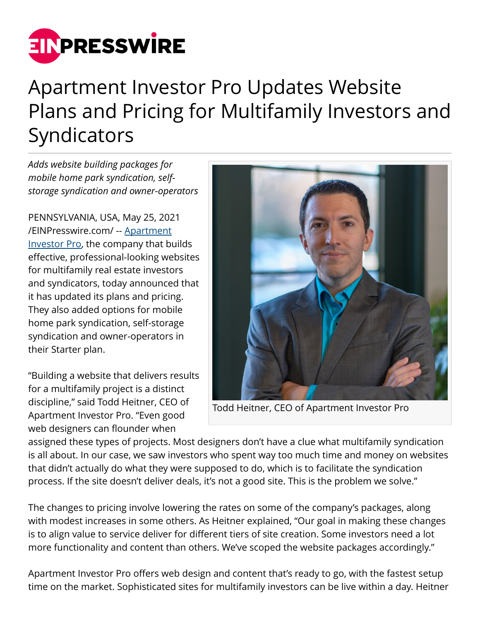

## Apartment Investor Pro Updates Website Plans and Pricing for Multifamily Investors and **Syndicators**

*Adds website building packages for mobile home park syndication, selfstorage syndication and owner-operators*

PENNSYLVANIA, USA, May 25, 2021 [/EINPresswire.com/](http://www.einpresswire.com) -- [Apartment](https://apartmentinvestorpro.com/about/) [Investor Pro,](https://apartmentinvestorpro.com/about/) the company that builds effective, professional-looking websites for multifamily real estate investors and syndicators, today announced that it has updated its plans and pricing. They also added options for mobile home park syndication, self-storage syndication and owner-operators in their Starter plan.

"Building a website that delivers results for a multifamily project is a distinct discipline," said Todd Heitner, CEO of Apartment Investor Pro. "Even good web designers can flounder when



Todd Heitner, CEO of Apartment Investor Pro

assigned these types of projects. Most designers don't have a clue what multifamily syndication is all about. In our case, we saw investors who spent way too much time and money on websites that didn't actually do what they were supposed to do, which is to facilitate the syndication process. If the site doesn't deliver deals, it's not a good site. This is the problem we solve."

The changes to pricing involve lowering the rates on some of the company's packages, along with modest increases in some others. As Heitner explained, "Our goal in making these changes is to align value to service deliver for different tiers of site creation. Some investors need a lot more functionality and content than others. We've scoped the website packages accordingly."

Apartment Investor Pro offers web design and content that's ready to go, with the fastest setup time on the market. Sophisticated sites for multifamily investors can be live within a day. Heitner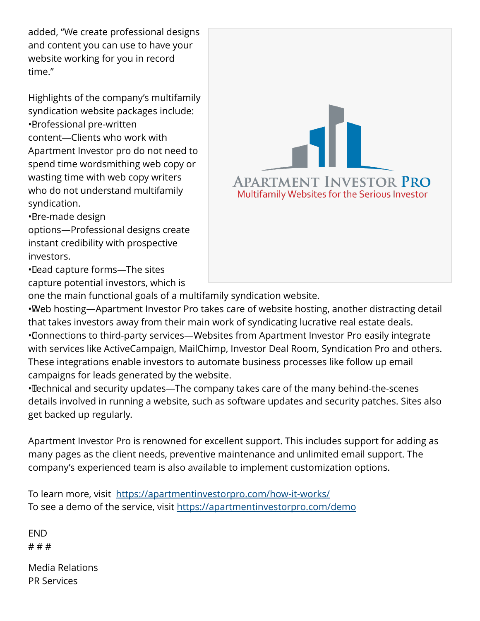added, "We create professional designs and content you can use to have your website working for you in record time."

Highlights of the company's multifamily syndication website packages include: • Professional pre-written content—Clients who work with Apartment Investor pro do not need to spend time wordsmithing web copy or wasting time with web copy writers who do not understand multifamily syndication.

• Pre-made design

options—Professional designs create instant credibility with prospective investors.

• Lead capture forms—The sites capture potential investors, which is



one the main functional goals of a multifamily syndication website.

• Web hosting—Apartment Investor Pro takes care of website hosting, another distracting detail that takes investors away from their main work of syndicating lucrative real estate deals. • Connections to third-party services—Websites from Apartment Investor Pro easily integrate with services like ActiveCampaign, MailChimp, Investor Deal Room, Syndication Pro and others. These integrations enable investors to automate business processes like follow up email campaigns for leads generated by the website.

• Technical and security updates—The company takes care of the many behind-the-scenes details involved in running a website, such as software updates and security patches. Sites also get backed up regularly.

Apartment Investor Pro is renowned for excellent support. This includes support for adding as many pages as the client needs, preventive maintenance and unlimited email support. The company's experienced team is also available to implement customization options.

To learn more, visit <https://apartmentinvestorpro.com/how-it-works/> To see a demo of the service, visit <https://apartmentinvestorpro.com/demo>

END # # #

Media Relations PR Services